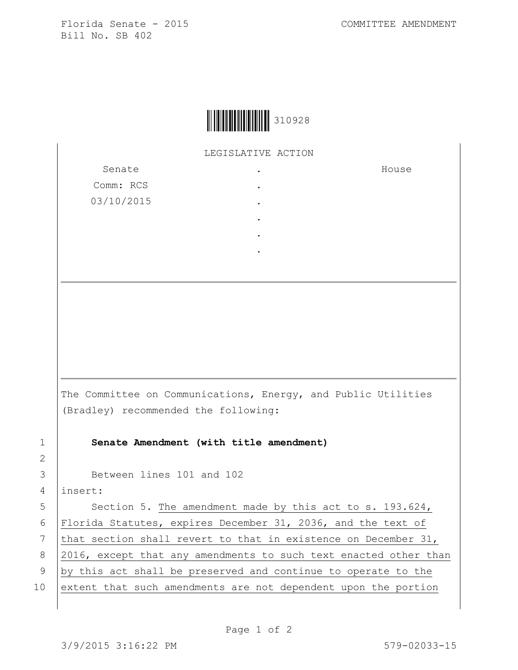Florida Senate - 2015 COMMITTEE AMENDMENT Bill No. SB 402

House



LEGISLATIVE ACTION

Senate Comm: RCS 03/10/2015 . . . . . .

The Committee on Communications, Energy, and Public Utilities (Bradley) recommended the following:

1 **Senate Amendment (with title amendment)**

3 Between lines 101 and 102

4 insert:

5 Section 5. The amendment made by this act to s. 193.624, 6 Florida Statutes, expires December 31, 2036, and the text of 7 that section shall revert to that in existence on December 31, 8 2016, except that any amendments to such text enacted other than 9 by this act shall be preserved and continue to operate to the 10 extent that such amendments are not dependent upon the portion

2